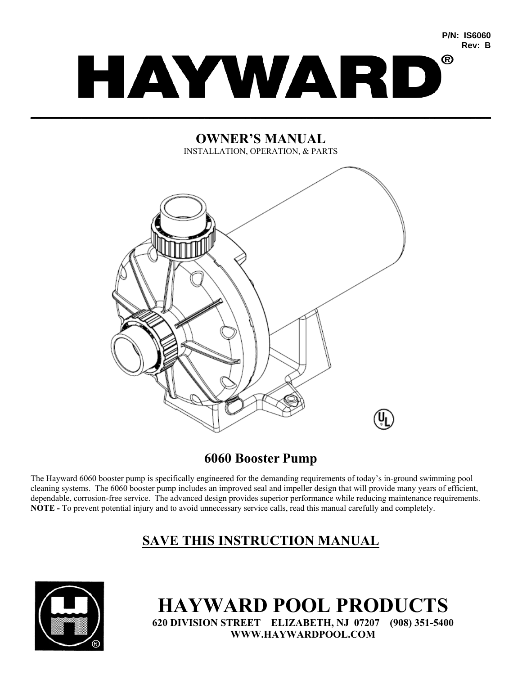# $^{\circledR}$ **HAYWARD**  $\mathcal{L}_\mathcal{L} = \mathcal{L}_\mathcal{L} = \mathcal{L}_\mathcal{L} = \mathcal{L}_\mathcal{L} = \mathcal{L}_\mathcal{L} = \mathcal{L}_\mathcal{L} = \mathcal{L}_\mathcal{L} = \mathcal{L}_\mathcal{L} = \mathcal{L}_\mathcal{L} = \mathcal{L}_\mathcal{L} = \mathcal{L}_\mathcal{L} = \mathcal{L}_\mathcal{L} = \mathcal{L}_\mathcal{L} = \mathcal{L}_\mathcal{L} = \mathcal{L}_\mathcal{L} = \mathcal{L}_\mathcal{L} = \mathcal{L}_\mathcal{L}$

**P/N: IS6060 Rev: B** 

# **OWNER'S MANUAL**  INSTALLATION, OPERATION, & PARTS



**6060 Booster Pump** 

The Hayward 6060 booster pump is specifically engineered for the demanding requirements of today's in-ground swimming pool cleaning systems. The 6060 booster pump includes an improved seal and impeller design that will provide many years of efficient, dependable, corrosion-free service. The advanced design provides superior performance while reducing maintenance requirements. **NOTE -** To prevent potential injury and to avoid unnecessary service calls, read this manual carefully and completely.

# **SAVE THIS INSTRUCTION MANUAL**



**HAYWARD POOL PRODUCTS 620 DIVISION STREET ELIZABETH, NJ 07207 (908) 351-5400 WWW.HAYWARDPOOL.COM**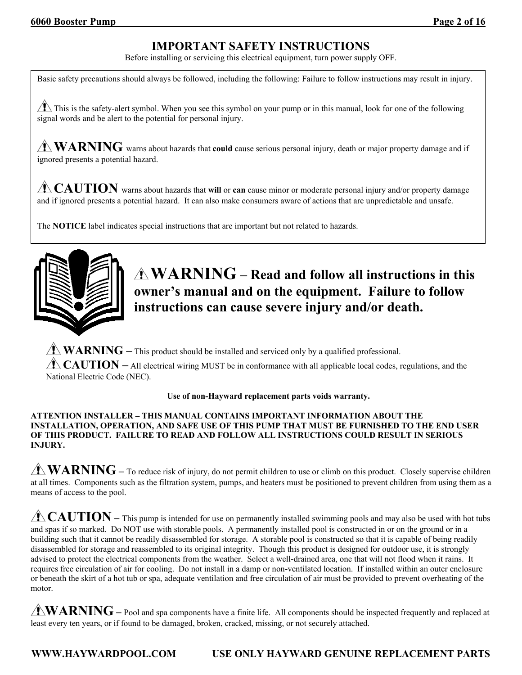# **IMPORTANT SAFETY INSTRUCTIONS**

Before installing or servicing this electrical equipment, turn power supply OFF.

Basic safety precautions should always be followed, including the following: Failure to follow instructions may result in injury.

 $\sqrt{\phantom{a}}\!\!\!\!\perp$  This is the safety-alert symbol. When you see this symbol on your pump or in this manual, look for one of the following signal words and be alert to the potential for personal injury.

**WARNING** warns about hazards that **could** cause serious personal injury, death or major property damage and if ignored presents a potential hazard.

**CAUTION** warns about hazards that **will** or **can** cause minor or moderate personal injury and/or property damage and if ignored presents a potential hazard. It can also make consumers aware of actions that are unpredictable and unsafe.

The **NOTICE** label indicates special instructions that are important but not related to hazards.



**WARNING – Read and follow all instructions in this owner's manual and on the equipment. Failure to follow instructions can cause severe injury and/or death.**

**WARNING** – This product should be installed and serviced only by a qualified professional.

**CAUTION** – All electrical wiring MUST be in conformance with all applicable local codes, regulations, and the National Electric Code (NEC).

**Use of non-Hayward replacement parts voids warranty.** 

**ATTENTION INSTALLER – THIS MANUAL CONTAINS IMPORTANT INFORMATION ABOUT THE INSTALLATION, OPERATION, AND SAFE USE OF THIS PUMP THAT MUST BE FURNISHED TO THE END USER OF THIS PRODUCT. FAILURE TO READ AND FOLLOW ALL INSTRUCTIONS COULD RESULT IN SERIOUS INJURY.**

**WARNING** – To reduce risk of injury, do not permit children to use or climb on this product. Closely supervise children at all times. Components such as the filtration system, pumps, and heaters must be positioned to prevent children from using them as a means of access to the pool.

**CAUTION** – This pump is intended for use on permanently installed swimming pools and may also be used with hot tubs and spas if so marked. Do NOT use with storable pools. A permanently installed pool is constructed in or on the ground or in a building such that it cannot be readily disassembled for storage. A storable pool is constructed so that it is capable of being readily disassembled for storage and reassembled to its original integrity. Though this product is designed for outdoor use, it is strongly advised to protect the electrical components from the weather. Select a well-drained area, one that will not flood when it rains. It requires free circulation of air for cooling. Do not install in a damp or non-ventilated location. If installed within an outer enclosure or beneath the skirt of a hot tub or spa, adequate ventilation and free circulation of air must be provided to prevent overheating of the motor.

**WARNING –** Pool and spa components have a finite life. All components should be inspected frequently and replaced at least every ten years, or if found to be damaged, broken, cracked, missing, or not securely attached.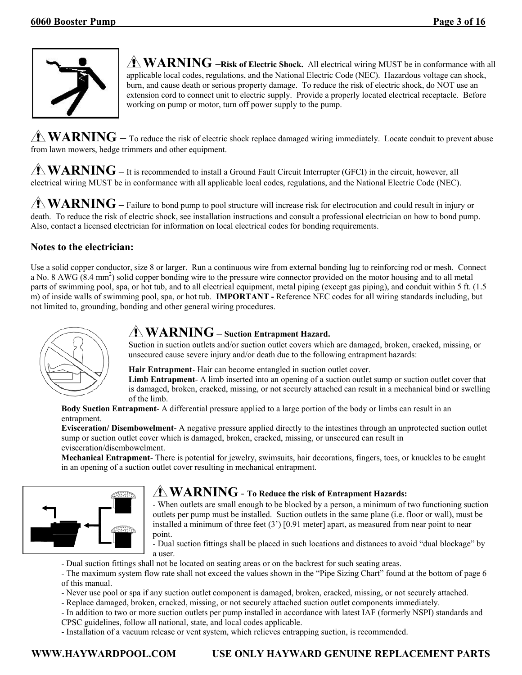

**WARNING –Risk of Electric Shock.** All electrical wiring MUST be in conformance with all applicable local codes, regulations, and the National Electric Code (NEC). Hazardous voltage can shock, burn, and cause death or serious property damage. To reduce the risk of electric shock, do NOT use an extension cord to connect unit to electric supply. Provide a properly located electrical receptacle. Before working on pump or motor, turn off power supply to the pump.

**WARNING** – To reduce the risk of electric shock replace damaged wiring immediately. Locate conduit to prevent abuse from lawn mowers, hedge trimmers and other equipment.

**WARNING** – It is recommended to install a Ground Fault Circuit Interrupter (GFCI) in the circuit, however, all electrical wiring MUST be in conformance with all applicable local codes, regulations, and the National Electric Code (NEC).

**WARNING** – Failure to bond pump to pool structure will increase risk for electrocution and could result in injury or death. To reduce the risk of electric shock, see installation instructions and consult a professional electrician on how to bond pump. Also, contact a licensed electrician for information on local electrical codes for bonding requirements.

### **Notes to the electrician:**

Use a solid copper conductor, size 8 or larger. Run a continuous wire from external bonding lug to reinforcing rod or mesh. Connect a No. 8 AWG  $(8.4 \text{ mm}^2)$  solid copper bonding wire to the pressure wire connector provided on the motor housing and to all metal parts of swimming pool, spa, or hot tub, and to all electrical equipment, metal piping (except gas piping), and conduit within 5 ft. (1.5) m) of inside walls of swimming pool, spa, or hot tub. **IMPORTANT -** Reference NEC codes for all wiring standards including, but not limited to, grounding, bonding and other general wiring procedures.



# **WARNING – Suction Entrapment Hazard.**

Suction in suction outlets and/or suction outlet covers which are damaged, broken, cracked, missing, or unsecured cause severe injury and/or death due to the following entrapment hazards:

**Hair Entrapment**- Hair can become entangled in suction outlet cover.

**Limb Entrapment**- A limb inserted into an opening of a suction outlet sump or suction outlet cover that is damaged, broken, cracked, missing, or not securely attached can result in a mechanical bind or swelling of the limb.

**Body Suction Entrapment**- A differential pressure applied to a large portion of the body or limbs can result in an entrapment.

**Evisceration/ Disembowelment**- A negative pressure applied directly to the intestines through an unprotected suction outlet sump or suction outlet cover which is damaged, broken, cracked, missing, or unsecured can result in evisceration/disembowelment.

**Mechanical Entrapment**- There is potential for jewelry, swimsuits, hair decorations, fingers, toes, or knuckles to be caught in an opening of a suction outlet cover resulting in mechanical entrapment.



# **WARNING** - **To Reduce the risk of Entrapment Hazards:**

- When outlets are small enough to be blocked by a person, a minimum of two functioning suction outlets per pump must be installed. Suction outlets in the same plane (i.e. floor or wall), must be installed a minimum of three feet (3') [0.91 meter] apart, as measured from near point to near point.

- Dual suction fittings shall be placed in such locations and distances to avoid "dual blockage" by a user.

- Dual suction fittings shall not be located on seating areas or on the backrest for such seating areas.
- The maximum system flow rate shall not exceed the values shown in the "Pipe Sizing Chart" found at the bottom of page 6 of this manual.
- Never use pool or spa if any suction outlet component is damaged, broken, cracked, missing, or not securely attached.
- Replace damaged, broken, cracked, missing, or not securely attached suction outlet components immediately.
- In addition to two or more suction outlets per pump installed in accordance with latest IAF (formerly NSPI) standards and CPSC guidelines, follow all national, state, and local codes applicable.

- Installation of a vacuum release or vent system, which relieves entrapping suction, is recommended.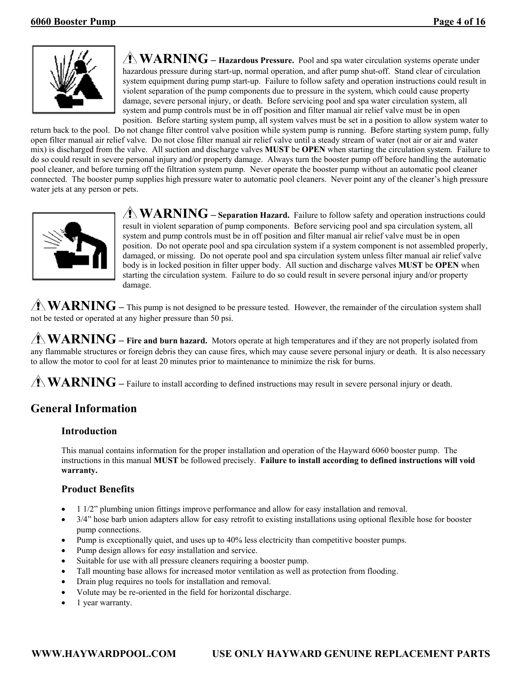

**WARNING – Hazardous Pressure.** Pool and spa water circulation systems operate under hazardous pressure during start-up, normal operation, and after pump shut-off. Stand clear of circulation system equipment during pump start-up. Failure to follow safety and operation instructions could result in violent separation of the pump components due to pressure in the system, which could cause property damage, severe personal injury, or death. Before servicing pool and spa water circulation system, all system and pump controls must be in off position and filter manual air relief valve must be in open position. Before starting system pump, all system valves must be set in a position to allow system water to

return back to the pool. Do not change filter control valve position while system pump is running. Before starting system pump, fully open filter manual air relief valve. Do not close filter manual air relief valve until a steady stream of water (not air or air and water mix) is discharged from the valve. All suction and discharge valves **MUST** be **OPEN** when starting the circulation system. Failure to do so could result in severe personal injury and/or property damage. Always turn the booster pump off before handling the automatic pool cleaner, and before turning off the filtration system pump. Never operate the booster pump without an automatic pool cleaner connected. The booster pump supplies high pressure water to automatic pool cleaners. Never point any of the cleaner's high pressure water jets at any person or pets.



**WARNING** – **Separation Hazard.** Failure to follow safety and operation instructions could result in violent separation of pump components. Before servicing pool and spa circulation system, all system and pump controls must be in off position and filter manual air relief valve must be in open position. Do not operate pool and spa circulation system if a system component is not assembled properly, damaged, or missing. Do not operate pool and spa circulation system unless filter manual air relief valve body is in locked position in filter upper body. All suction and discharge valves **MUST** be **OPEN** when starting the circulation system. Failure to do so could result in severe personal injury and/or property damage.

**WARNING** – This pump is not designed to be pressure tested. However, the remainder of the circulation system shall not be tested or operated at any higher pressure than 50 psi.

**WARNING** – Fire and burn hazard. Motors operate at high temperatures and if they are not properly isolated from any flammable structures or foreign debris they can cause fires, which may cause severe personal injury or death. It is also necessary to allow the motor to cool for at least 20 minutes prior to maintenance to minimize the risk for burns.

**WARNING** – Failure to install according to defined instructions may result in severe personal injury or death.

# **General Information**

### **Introduction**

This manual contains information for the proper installation and operation of the Hayward 6060 booster pump. The instructions in this manual **MUST** be followed precisely. **Failure to install according to defined instructions will void warranty.** 

# **Product Benefits**

- 1 1/2" plumbing union fittings improve performance and allow for easy installation and removal.
- 3/4" hose barb union adapters allow for easy retrofit to existing installations using optional flexible hose for booster pump connections.
- Pump is exceptionally quiet, and uses up to 40% less electricity than competitive booster pumps.
- Pump design allows for *easy* installation and service.
- Suitable for use with all pressure cleaners requiring a booster pump.
- Tall mounting base allows for increased motor ventilation as well as protection from flooding.
- Drain plug requires no tools for installation and removal.
- Volute may be re-oriented in the field for horizontal discharge.
- 1 year warranty.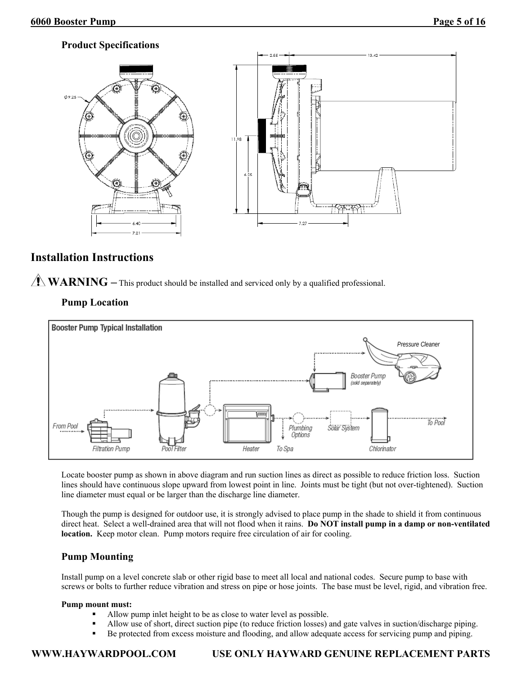### **Product Specifications**



# **Installation Instructions**

# **WARNING –** This product should be installed and serviced only by a qualified professional.

### **Pump Location**



Locate booster pump as shown in above diagram and run suction lines as direct as possible to reduce friction loss. Suction lines should have continuous slope upward from lowest point in line. Joints must be tight (but not over-tightened). Suction line diameter must equal or be larger than the discharge line diameter.

Though the pump is designed for outdoor use, it is strongly advised to place pump in the shade to shield it from continuous direct heat. Select a well-drained area that will not flood when it rains. **Do NOT install pump in a damp or non-ventilated location.** Keep motor clean. Pump motors require free circulation of air for cooling.

# **Pump Mounting**

Install pump on a level concrete slab or other rigid base to meet all local and national codes. Secure pump to base with screws or bolts to further reduce vibration and stress on pipe or hose joints. The base must be level, rigid, and vibration free.

#### **Pump mount must:**

- Allow pump inlet height to be as close to water level as possible.
- Allow use of short, direct suction pipe (to reduce friction losses) and gate valves in suction/discharge piping.
- Be protected from excess moisture and flooding, and allow adequate access for servicing pump and piping.

### **WWW.HAYWARDPOOL.COM USE ONLY HAYWARD GENUINE REPLACEMENT PARTS**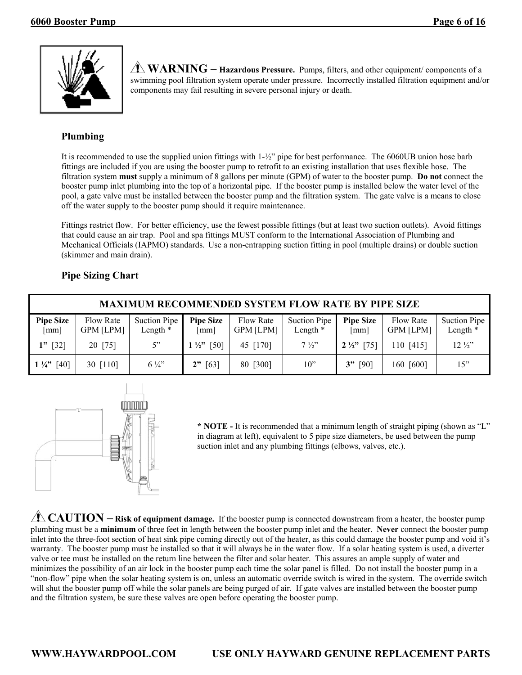

**WARNING – Hazardous Pressure.** Pumps, filters, and other equipment/ components of a swimming pool filtration system operate under pressure. Incorrectly installed filtration equipment and/or components may fail resulting in severe personal injury or death.

# **Plumbing**

It is recommended to use the supplied union fittings with 1-½" pipe for best performance. The 6060UB union hose barb fittings are included if you are using the booster pump to retrofit to an existing installation that uses flexible hose. The filtration system **must** supply a minimum of 8 gallons per minute (GPM) of water to the booster pump. **Do not** connect the booster pump inlet plumbing into the top of a horizontal pipe. If the booster pump is installed below the water level of the pool, a gate valve must be installed between the booster pump and the filtration system. The gate valve is a means to close off the water supply to the booster pump should it require maintenance.

Fittings restrict flow. For better efficiency, use the fewest possible fittings (but at least two suction outlets). Avoid fittings that could cause an air trap. Pool and spa fittings MUST conform to the International Association of Plumbing and Mechanical Officials (IAPMO) standards. Use a non-entrapping suction fitting in pool (multiple drains) or double suction (skimmer and main drain).

# **Pipe Sizing Chart**

| <b>MAXIMUM RECOMMENDED SYSTEM FLOW RATE BY PIPE SIZE</b> |                               |                                   |                         |                               |                                   |                         |                               |                                 |
|----------------------------------------------------------|-------------------------------|-----------------------------------|-------------------------|-------------------------------|-----------------------------------|-------------------------|-------------------------------|---------------------------------|
| <b>Pipe Size</b><br>[mm]                                 | Flow Rate<br><b>GPM</b> [LPM] | <b>Suction Pipe</b><br>Length $*$ | <b>Pipe Size</b><br> mm | Flow Rate<br><b>GPM</b> [LPM] | <b>Suction Pipe</b><br>Length $*$ | <b>Pipe Size</b><br> mm | Flow Rate<br><b>GPM [LPM]</b> | <b>Suction Pipe</b><br>Length * |
| $[32]$<br>1"                                             | 20 [75]                       |                                   | [50]<br>$\frac{1}{2}$   | 45 [170]                      | $7\frac{1}{2}$                    | $2\frac{1}{2}$          | 110 [415]                     | $12\frac{1}{2}$                 |
| $1\frac{1}{4}$<br>[40]                                   | 30 [110]                      | $6\frac{1}{4}$                    | [63]<br>2"              | 80 [300]                      | 10"                               | [90]<br>3"              | 160 [600]                     | 15"                             |



**\* NOTE -** It is recommended that a minimum length of straight piping (shown as "L" in diagram at left), equivalent to 5 pipe size diameters, be used between the pump suction inlet and any plumbing fittings (elbows, valves, etc.).

**CAUTION** – **Risk of equipment damage.** If the booster pump is connected downstream from a heater, the booster pump plumbing must be a **minimum** of three feet in length between the booster pump inlet and the heater. **Never** connect the booster pump inlet into the three-foot section of heat sink pipe coming directly out of the heater, as this could damage the booster pump and void it's warranty. The booster pump must be installed so that it will always be in the water flow. If a solar heating system is used, a diverter valve or tee must be installed on the return line between the filter and solar heater. This assures an ample supply of water and minimizes the possibility of an air lock in the booster pump each time the solar panel is filled. Do not install the booster pump in a "non-flow" pipe when the solar heating system is on, unless an automatic override switch is wired in the system. The override switch will shut the booster pump off while the solar panels are being purged of air. If gate valves are installed between the booster pump and the filtration system, be sure these valves are open before operating the booster pump.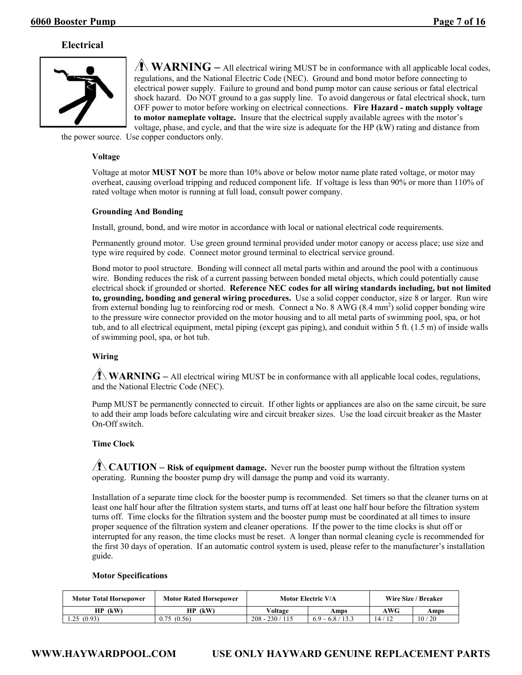#### **Electrical**



**WARNING** – All electrical wiring MUST be in conformance with all applicable local codes, regulations, and the National Electric Code (NEC). Ground and bond motor before connecting to electrical power supply. Failure to ground and bond pump motor can cause serious or fatal electrical shock hazard. Do NOT ground to a gas supply line.To avoid dangerous or fatal electrical shock, turn OFF power to motor before working on electrical connections. **Fire Hazard - match supply voltage to motor nameplate voltage.** Insure that the electrical supply available agrees with the motor's voltage, phase, and cycle, and that the wire size is adequate for the HP (kW) rating and distance from

the power source.Use copper conductors only.

#### **Voltage**

Voltage at motor **MUST NOT** be more than 10% above or below motor name plate rated voltage, or motor may overheat, causing overload tripping and reduced component life. If voltage is less than 90% or more than 110% of rated voltage when motor is running at full load, consult power company.

#### **Grounding And Bonding**

Install, ground, bond, and wire motor in accordance with local or national electrical code requirements.

Permanently ground motor. Use green ground terminal provided under motor canopy or access place; use size and type wire required by code. Connect motor ground terminal to electrical service ground.

Bond motor to pool structure. Bonding will connect all metal parts within and around the pool with a continuous wire. Bonding reduces the risk of a current passing between bonded metal objects, which could potentially cause electrical shock if grounded or shorted. **Reference NEC codes for all wiring standards including, but not limited to, grounding, bonding and general wiring procedures.** Use a solid copper conductor, size 8 or larger. Run wire from external bonding lug to reinforcing rod or mesh. Connect a No. 8 AWG (8.4 mm<sup>2</sup>) solid copper bonding wire to the pressure wire connector provided on the motor housing and to all metal parts of swimming pool, spa, or hot tub, and to all electrical equipment, metal piping (except gas piping), and conduit within 5 ft. (1.5 m) of inside walls of swimming pool, spa, or hot tub.

#### **Wiring**

**WARNING** – All electrical wiring MUST be in conformance with all applicable local codes, regulations, and the National Electric Code (NEC).

Pump MUST be permanently connected to circuit. If other lights or appliances are also on the same circuit, be sure to add their amp loads before calculating wire and circuit breaker sizes. Use the load circuit breaker as the Master On-Off switch.

#### **Time Clock**

**CAUTION – Risk of equipment damage.** Never run the booster pump without the filtration system operating. Running the booster pump dry will damage the pump and void its warranty.

Installation of a separate time clock for the booster pump is recommended. Set timers so that the cleaner turns on at least one half hour after the filtration system starts, and turns off at least one half hour before the filtration system turns off. Time clocks for the filtration system and the booster pump must be coordinated at all times to insure proper sequence of the filtration system and cleaner operations. If the power to the time clocks is shut off or interrupted for any reason, the time clocks must be reset. A longer than normal cleaning cycle is recommended for the first 30 days of operation. If an automatic control system is used, please refer to the manufacturer's installation guide.

#### **Motor Specifications**

| <b>Motor Total Horsepower</b> | <b>Motor Rated Horsepower</b> |                   | <b>Motor Electric V/A</b> | Wire Size / Breaker |       |
|-------------------------------|-------------------------------|-------------------|---------------------------|---------------------|-------|
| $HP$ (kW)<br>HP (kW)          |                               | Voltage           | Amps                      | AWG                 | Amps  |
| 1.25(0.93)                    | 0.75(0.56)                    | $208 - 230 / 115$ | $6.9 - 6.8 / 13.3$        | 14/12               | 10/20 |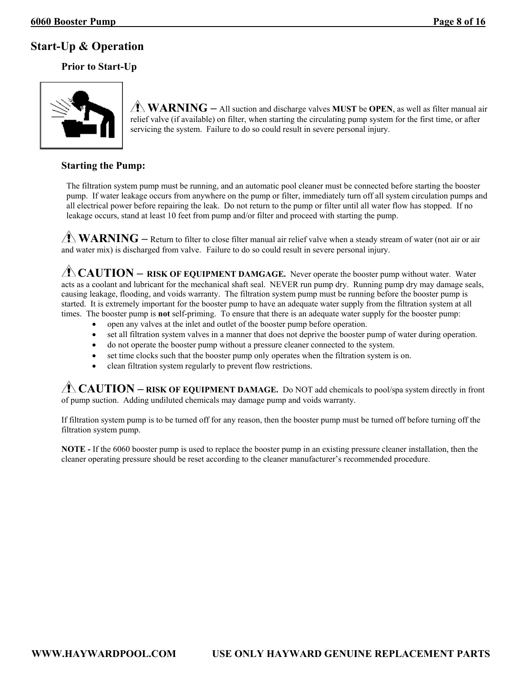# **Start-Up & Operation**

**Prior to Start-Up** 



**WARNING** – All suction and discharge valves **MUST** be **OPEN**, as well as filter manual air relief valve (if available) on filter, when starting the circulating pump system for the first time, or after servicing the system. Failure to do so could result in severe personal injury.

### **Starting the Pump:**

The filtration system pump must be running, and an automatic pool cleaner must be connected before starting the booster pump. If water leakage occurs from anywhere on the pump or filter, immediately turn off all system circulation pumps and all electrical power before repairing the leak. Do not return to the pump or filter until all water flow has stopped. If no leakage occurs, stand at least 10 feet from pump and/or filter and proceed with starting the pump.

**WARNING** – Return to filter to close filter manual air relief valve when a steady stream of water (not air or air and water mix) is discharged from valve. Failure to do so could result in severe personal injury.

**CAUTION – RISK OF EQUIPMENT DAMGAGE.** Never operate the booster pump without water. Water acts as a coolant and lubricant for the mechanical shaft seal. NEVER run pump dry. Running pump dry may damage seals, causing leakage, flooding, and voids warranty. The filtration system pump must be running before the booster pump is started. It is extremely important for the booster pump to have an adequate water supply from the filtration system at all times. The booster pump is **not** self-priming. To ensure that there is an adequate water supply for the booster pump:

- open any valves at the inlet and outlet of the booster pump before operation.
- set all filtration system valves in a manner that does not deprive the booster pump of water during operation.
- do not operate the booster pump without a pressure cleaner connected to the system.
- set time clocks such that the booster pump only operates when the filtration system is on.
- clean filtration system regularly to prevent flow restrictions.

**CAUTION** – **RISK OF EQUIPMENT DAMAGE.** Do NOT add chemicals to pool/spa system directly in front of pump suction. Adding undiluted chemicals may damage pump and voids warranty.

If filtration system pump is to be turned off for any reason, then the booster pump must be turned off before turning off the filtration system pump.

**NOTE -** If the 6060 booster pump is used to replace the booster pump in an existing pressure cleaner installation, then the cleaner operating pressure should be reset according to the cleaner manufacturer's recommended procedure.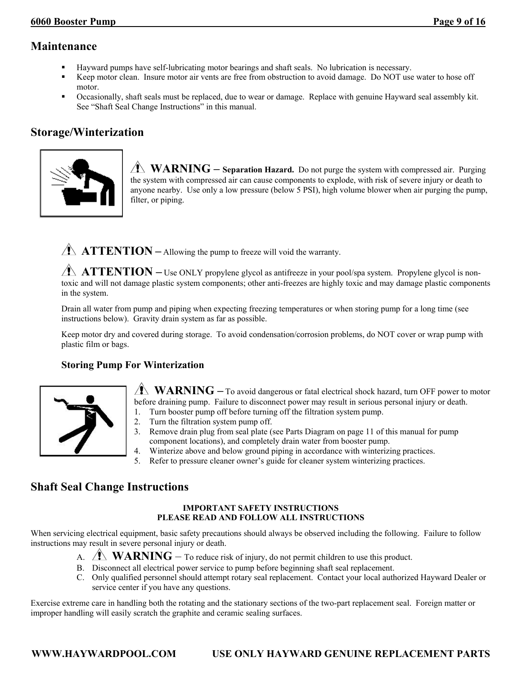# **Maintenance**

- Hayward pumps have self-lubricating motor bearings and shaft seals. No lubrication is necessary.
- Keep motor clean. Insure motor air vents are free from obstruction to avoid damage. Do NOT use water to hose off motor.
- Occasionally, shaft seals must be replaced, due to wear or damage. Replace with genuine Hayward seal assembly kit. See "Shaft Seal Change Instructions" in this manual.

# **Storage/Winterization**



**WARNING** – Separation Hazard. Do not purge the system with compressed air. Purging the system with compressed air can cause components to explode, with risk of severe injury or death to anyone nearby. Use only a low pressure (below 5 PSI), high volume blower when air purging the pump, filter, or piping.

**ATTENTION** – Allowing the pump to freeze will void the warranty.

**ATTENTION** – Use ONLY propylene glycol as antifreeze in your pool/spa system. Propylene glycol is nontoxic and will not damage plastic system components; other anti-freezes are highly toxic and may damage plastic components in the system.

Drain all water from pump and piping when expecting freezing temperatures or when storing pump for a long time (see instructions below). Gravity drain system as far as possible.

Keep motor dry and covered during storage. To avoid condensation/corrosion problems, do NOT cover or wrap pump with plastic film or bags.

# **Storing Pump For Winterization**



**WARNING** – To avoid dangerous or fatal electrical shock hazard, turn OFF power to motor before draining pump. Failure to disconnect power may result in serious personal injury or death.

- 1. Turn booster pump off before turning off the filtration system pump.
- 2. Turn the filtration system pump off.
- 3. Remove drain plug from seal plate (see Parts Diagram on page 11 of this manual for pump component locations), and completely drain water from booster pump.
- 4. Winterize above and below ground piping in accordance with winterizing practices.
- 5. Refer to pressure cleaner owner's guide for cleaner system winterizing practices.

# **Shaft Seal Change Instructions**

#### **IMPORTANT SAFETY INSTRUCTIONS PLEASE READ AND FOLLOW ALL INSTRUCTIONS**

When servicing electrical equipment, basic safety precautions should always be observed including the following. Failure to follow instructions may result in severe personal injury or death.

- A.  $\angle I \quad \text{WARNING}$  To reduce risk of injury, do not permit children to use this product.
- B. Disconnect all electrical power service to pump before beginning shaft seal replacement.
- C. Only qualified personnel should attempt rotary seal replacement. Contact your local authorized Hayward Dealer or service center if you have any questions.

Exercise extreme care in handling both the rotating and the stationary sections of the two-part replacement seal. Foreign matter or improper handling will easily scratch the graphite and ceramic sealing surfaces.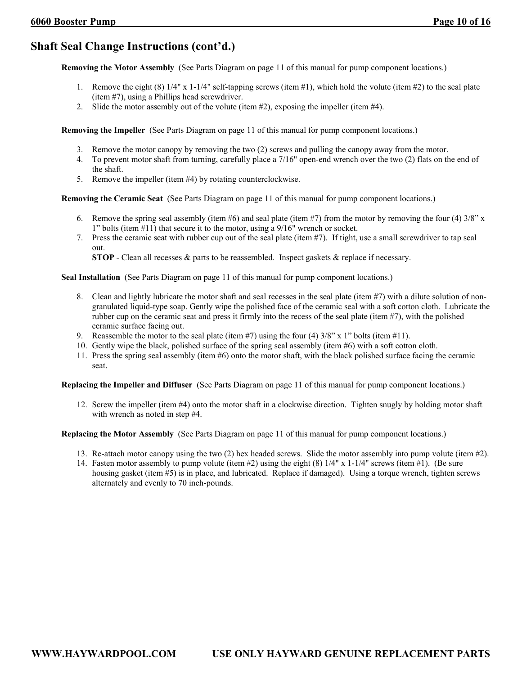# **Shaft Seal Change Instructions (cont'd.)**

**Removing the Motor Assembly** (See Parts Diagram on page 11 of this manual for pump component locations.)

- 1. Remove the eight  $(8)$  1/4" x 1-1/4" self-tapping screws (item #1), which hold the volute (item #2) to the seal plate (item #7), using a Phillips head screwdriver.
- 2. Slide the motor assembly out of the volute (item  $#2$ ), exposing the impeller (item  $#4$ ).

**Removing the Impeller** (See Parts Diagram on page 11 of this manual for pump component locations.)

- 3. Remove the motor canopy by removing the two (2) screws and pulling the canopy away from the motor.
- 4. To prevent motor shaft from turning, carefully place a 7/16" open-end wrench over the two (2) flats on the end of the shaft.
- 5. Remove the impeller (item #4) by rotating counterclockwise.

**Removing the Ceramic Seat** (See Parts Diagram on page 11 of this manual for pump component locations.)

- 6. Remove the spring seal assembly (item #6) and seal plate (item #7) from the motor by removing the four (4)  $3/8$ " x 1" bolts (item #11) that secure it to the motor, using a 9/16" wrench or socket.
- 7. Press the ceramic seat with rubber cup out of the seal plate (item #7). If tight, use a small screwdriver to tap seal out.

**STOP** - Clean all recesses  $\&$  parts to be reassembled. Inspect gaskets  $\&$  replace if necessary.

**Seal Installation** (See Parts Diagram on page 11 of this manual for pump component locations.)

- 8. Clean and lightly lubricate the motor shaft and seal recesses in the seal plate (item #7) with a dilute solution of nongranulated liquid-type soap. Gently wipe the polished face of the ceramic seal with a soft cotton cloth. Lubricate the rubber cup on the ceramic seat and press it firmly into the recess of the seal plate (item #7), with the polished ceramic surface facing out.
- 9. Reassemble the motor to the seal plate (item #7) using the four (4)  $3/8$ " x 1" bolts (item #11).
- 10. Gently wipe the black, polished surface of the spring seal assembly (item #6) with a soft cotton cloth.
- 11. Press the spring seal assembly (item #6) onto the motor shaft, with the black polished surface facing the ceramic seat.

**Replacing the Impeller and Diffuser** (See Parts Diagram on page 11 of this manual for pump component locations.)

12. Screw the impeller (item #4) onto the motor shaft in a clockwise direction. Tighten snugly by holding motor shaft with wrench as noted in step #4.

**Replacing the Motor Assembly** (See Parts Diagram on page 11 of this manual for pump component locations.)

- 13. Re-attach motor canopy using the two (2) hex headed screws. Slide the motor assembly into pump volute (item #2).
- 14. Fasten motor assembly to pump volute (item #2) using the eight (8) 1/4" x 1-1/4" screws (item #1). (Be sure housing gasket (item #5) is in place, and lubricated. Replace if damaged). Using a torque wrench, tighten screws alternately and evenly to 70 inch-pounds.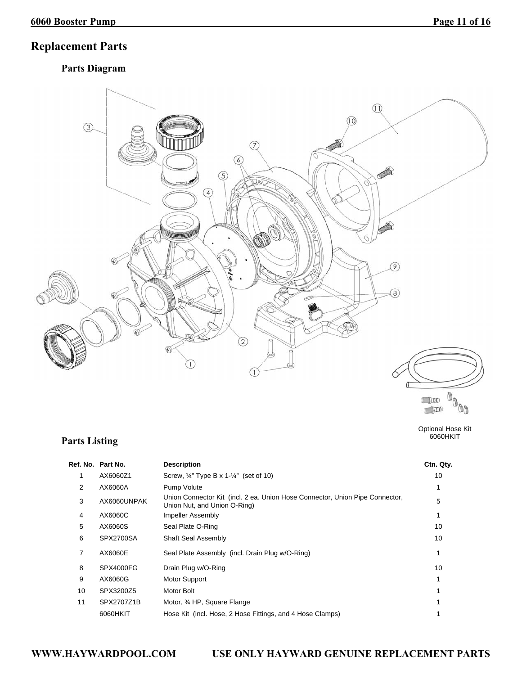# **Replacement Parts**

# **Parts Diagram**



**DUD** Optional Hose Kit

6060HKIT

 **Parts Listing** 

|    | Ref. No. Part No. | <b>Description</b>                                                                                           | Ctn. Qty. |
|----|-------------------|--------------------------------------------------------------------------------------------------------------|-----------|
|    | AX6060Z1          | Screw, $\frac{1}{4}$ " Type B x 1- $\frac{1}{4}$ " (set of 10)                                               | 10        |
| 2  | AX6060A           | Pump Volute                                                                                                  |           |
| 3  | AX6060UNPAK       | Union Connector Kit (incl. 2 ea. Union Hose Connector, Union Pipe Connector,<br>Union Nut, and Union O-Ring) | 5         |
| 4  | AX6060C           | <b>Impeller Assembly</b>                                                                                     |           |
| 5  | AX6060S           | Seal Plate O-Ring                                                                                            | 10        |
| 6  | SPX2700SA         | <b>Shaft Seal Assembly</b>                                                                                   | 10        |
| 7  | AX6060E           | Seal Plate Assembly (incl. Drain Plug w/O-Ring)                                                              |           |
| 8  | SPX4000FG         | Drain Plug w/O-Ring                                                                                          | 10        |
| 9  | AX6060G           | <b>Motor Support</b>                                                                                         |           |
| 10 | SPX3200Z5         | Motor Bolt                                                                                                   |           |
| 11 | SPX2707Z1B        | Motor, 34 HP, Square Flange                                                                                  |           |
|    | 6060HKIT          | Hose Kit (incl. Hose, 2 Hose Fittings, and 4 Hose Clamps)                                                    |           |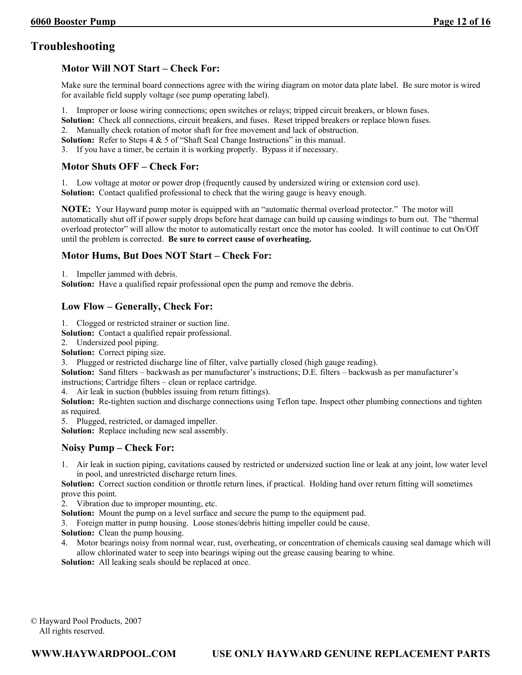# **Troubleshooting**

### **Motor Will NOT Start – Check For:**

Make sure the terminal board connections agree with the wiring diagram on motor data plate label. Be sure motor is wired for available field supply voltage (see pump operating label).

1. Improper or loose wiring connections; open switches or relays; tripped circuit breakers, or blown fuses.

**Solution:** Check all connections, circuit breakers, and fuses. Reset tripped breakers or replace blown fuses.

2. Manually check rotation of motor shaft for free movement and lack of obstruction.

Solution: Refer to Steps 4 & 5 of "Shaft Seal Change Instructions" in this manual.

3. If you have a timer, be certain it is working properly. Bypass it if necessary.

#### **Motor Shuts OFF – Check For:**

1. Low voltage at motor or power drop (frequently caused by undersized wiring or extension cord use). **Solution:** Contact qualified professional to check that the wiring gauge is heavy enough.

**NOTE:** Your Hayward pump motor is equipped with an "automatic thermal overload protector." The motor will automatically shut off if power supply drops before heat damage can build up causing windings to burn out. The "thermal overload protector" will allow the motor to automatically restart once the motor has cooled. It will continue to cut On/Off until the problem is corrected. **Be sure to correct cause of overheating.** 

### **Motor Hums, But Does NOT Start – Check For:**

1. Impeller jammed with debris.

**Solution:** Have a qualified repair professional open the pump and remove the debris.

#### **Low Flow – Generally, Check For:**

1. Clogged or restricted strainer or suction line.

**Solution:** Contact a qualified repair professional.

2. Undersized pool piping.

**Solution:** Correct piping size.

3. Plugged or restricted discharge line of filter, valve partially closed (high gauge reading).

**Solution:** Sand filters – backwash as per manufacturer's instructions; D.E. filters – backwash as per manufacturer's instructions; Cartridge filters – clean or replace cartridge.

4. Air leak in suction (bubbles issuing from return fittings).

**Solution:** Re-tighten suction and discharge connections using Teflon tape. Inspect other plumbing connections and tighten as required.

5. Plugged, restricted, or damaged impeller.

**Solution:** Replace including new seal assembly.

### **Noisy Pump – Check For:**

1. Air leak in suction piping, cavitations caused by restricted or undersized suction line or leak at any joint, low water level in pool, and unrestricted discharge return lines.

**Solution:** Correct suction condition or throttle return lines, if practical. Holding hand over return fitting will sometimes prove this point.

2. Vibration due to improper mounting, etc.

**Solution:** Mount the pump on a level surface and secure the pump to the equipment pad.

3. Foreign matter in pump housing. Loose stones/debris hitting impeller could be cause.

**Solution:** Clean the pump housing.

4. Motor bearings noisy from normal wear, rust, overheating, or concentration of chemicals causing seal damage which will allow chlorinated water to seep into bearings wiping out the grease causing bearing to whine.

**Solution:** All leaking seals should be replaced at once.

© Hayward Pool Products, 2007 All rights reserved.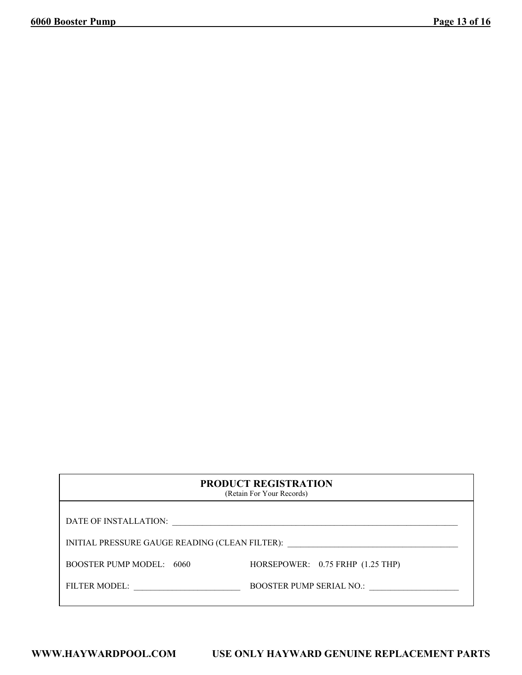#### **PRODUCT REGISTRATION**  (Retain For Your Records)

| DATE OF INSTALLATION:<br><u> 1980 - Jan Samuel Barbara, margaret e populari e populari e populari e populari e populari e populari e popu</u> |                                  |  |  |  |  |
|-----------------------------------------------------------------------------------------------------------------------------------------------|----------------------------------|--|--|--|--|
| INITIAL PRESSURE GAUGE READING (CLEAN FILTER): __________________________________                                                             |                                  |  |  |  |  |
| BOOSTER PUMP MODEL: 6060                                                                                                                      | HORSEPOWER: 0.75 FRHP (1.25 THP) |  |  |  |  |
| FILTER MODEL:                                                                                                                                 | <b>BOOSTER PUMP SERIAL NO.:</b>  |  |  |  |  |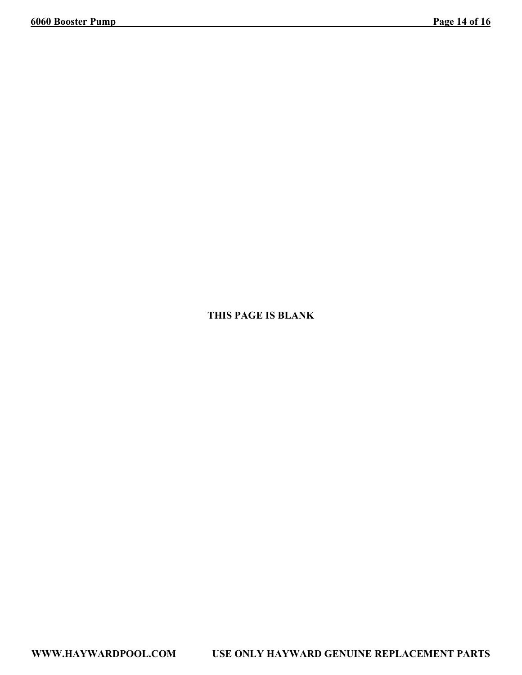# **THIS PAGE IS BLANK**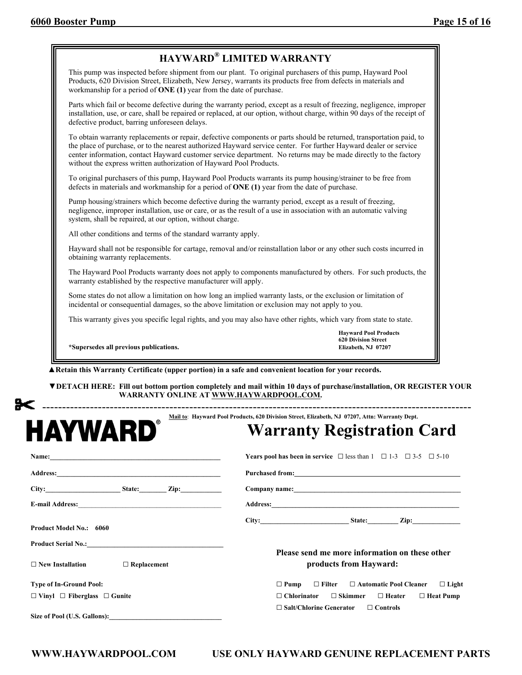| HAYWARD® LIMITED WARRANTY                                                                                                                                                                                                                                                                                                                                                                                                           |                                                                                   |
|-------------------------------------------------------------------------------------------------------------------------------------------------------------------------------------------------------------------------------------------------------------------------------------------------------------------------------------------------------------------------------------------------------------------------------------|-----------------------------------------------------------------------------------|
| This pump was inspected before shipment from our plant. To original purchasers of this pump, Hayward Pool<br>Products, 620 Division Street, Elizabeth, New Jersey, warrants its products free from defects in materials and<br>workmanship for a period of ONE (1) year from the date of purchase.                                                                                                                                  |                                                                                   |
| Parts which fail or become defective during the warranty period, except as a result of freezing, negligence, improper<br>installation, use, or care, shall be repaired or replaced, at our option, without charge, within 90 days of the receipt of<br>defective product, barring unforeseen delays.                                                                                                                                |                                                                                   |
| To obtain warranty replacements or repair, defective components or parts should be returned, transportation paid, to<br>the place of purchase, or to the nearest authorized Hayward service center. For further Hayward dealer or service<br>center information, contact Hayward customer service department. No returns may be made directly to the factory<br>without the express written authorization of Hayward Pool Products. |                                                                                   |
| To original purchasers of this pump, Hayward Pool Products warrants its pump housing/strainer to be free from<br>defects in materials and workmanship for a period of $\overline{ONE}$ (1) year from the date of purchase.                                                                                                                                                                                                          |                                                                                   |
| Pump housing/strainers which become defective during the warranty period, except as a result of freezing,<br>negligence, improper installation, use or care, or as the result of a use in association with an automatic valving<br>system, shall be repaired, at our option, without charge.                                                                                                                                        |                                                                                   |
| All other conditions and terms of the standard warranty apply.                                                                                                                                                                                                                                                                                                                                                                      |                                                                                   |
| Hayward shall not be responsible for cartage, removal and/or reinstallation labor or any other such costs incurred in<br>obtaining warranty replacements.                                                                                                                                                                                                                                                                           |                                                                                   |
| The Hayward Pool Products warranty does not apply to components manufactured by others. For such products, the<br>warranty established by the respective manufacturer will apply.                                                                                                                                                                                                                                                   |                                                                                   |
| Some states do not allow a limitation on how long an implied warranty lasts, or the exclusion or limitation of<br>incidental or consequential damages, so the above limitation or exclusion may not apply to you.                                                                                                                                                                                                                   |                                                                                   |
| This warranty gives you specific legal rights, and you may also have other rights, which vary from state to state.                                                                                                                                                                                                                                                                                                                  |                                                                                   |
| *Supersedes all previous publications.                                                                                                                                                                                                                                                                                                                                                                                              | <b>Hayward Pool Products</b><br><b>620 Division Street</b><br>Elizabeth, NJ 07207 |

------------------------------------------------------------------------------------------------------------

| Mail to: Hayward Pool Products, 620 Division Street, Elizabeth, NJ 07207, Attn: Warranty Dept. |  |  |
|------------------------------------------------------------------------------------------------|--|--|
|                                                                                                |  |  |

# **HAYWARD® Warranty Registration Card Name: Name: Name: Name: Name: Name: Name: Name: Name: Name: Name: Name: Name: N Address:\_\_\_\_\_\_\_\_\_\_\_\_\_\_\_\_\_\_\_\_\_\_\_\_\_\_\_\_\_\_\_\_\_\_\_\_\_\_\_\_\_\_\_\_\_\_\_\_ Purchased from: City:\_\_\_\_\_\_\_\_\_\_\_\_\_\_\_\_\_\_\_\_\_\_ State:\_\_\_\_\_\_\_\_ Zip:\_\_\_\_\_\_\_\_\_\_\_\_ Company name:\_\_\_\_\_\_\_\_\_\_\_\_\_\_\_\_\_\_\_\_\_\_\_\_\_\_\_\_\_\_\_\_\_\_\_\_\_\_\_\_\_\_\_\_\_\_\_\_\_ E-mail Address:**\_\_\_\_\_\_\_\_\_\_\_\_\_\_\_\_\_\_\_\_\_\_\_\_\_\_\_\_\_\_\_\_\_\_\_\_\_\_\_\_\_\_ **Address:\_\_\_\_\_\_\_\_\_\_\_\_\_\_\_\_\_\_\_\_\_\_\_\_\_\_\_\_\_\_\_\_\_\_\_\_\_\_\_\_\_\_\_\_\_\_\_\_\_\_\_\_\_\_\_ City:\_\_\_\_\_\_\_\_\_\_\_\_\_\_\_\_\_\_\_\_\_\_\_\_\_\_ State:\_\_\_\_\_\_\_\_\_ Zip:\_\_\_\_\_\_\_\_\_\_\_\_\_\_ Product Model No.: 6060 Product Serial No.:\_\_\_\_\_\_\_\_\_\_\_\_\_\_\_\_\_\_\_\_\_\_\_\_\_\_\_\_\_\_\_\_\_\_\_\_\_\_\_\_ Please send me more information on these other □ New Installation □ Replacement products from Hayward:**

|                                                |  | $\Box$ Pump $\Box$ Filter $\Box$ Automatic Pool Cleaner $\Box$ Light |  |
|------------------------------------------------|--|----------------------------------------------------------------------|--|
|                                                |  | $\Box$ Chlorinator $\Box$ Skimmer $\Box$ Heater $\Box$ Heat Pump     |  |
| $\Box$ Salt/Chlorine Generator $\Box$ Controls |  |                                                                      |  |

 $T$ ype of In-Ground Pool:

**□ Vinyl □ Fiberglass □ Gunite □ Chlorinator □ Skimmer □ Heater □ Heat Pump** 

Size of Pool (U.S. Gallons):